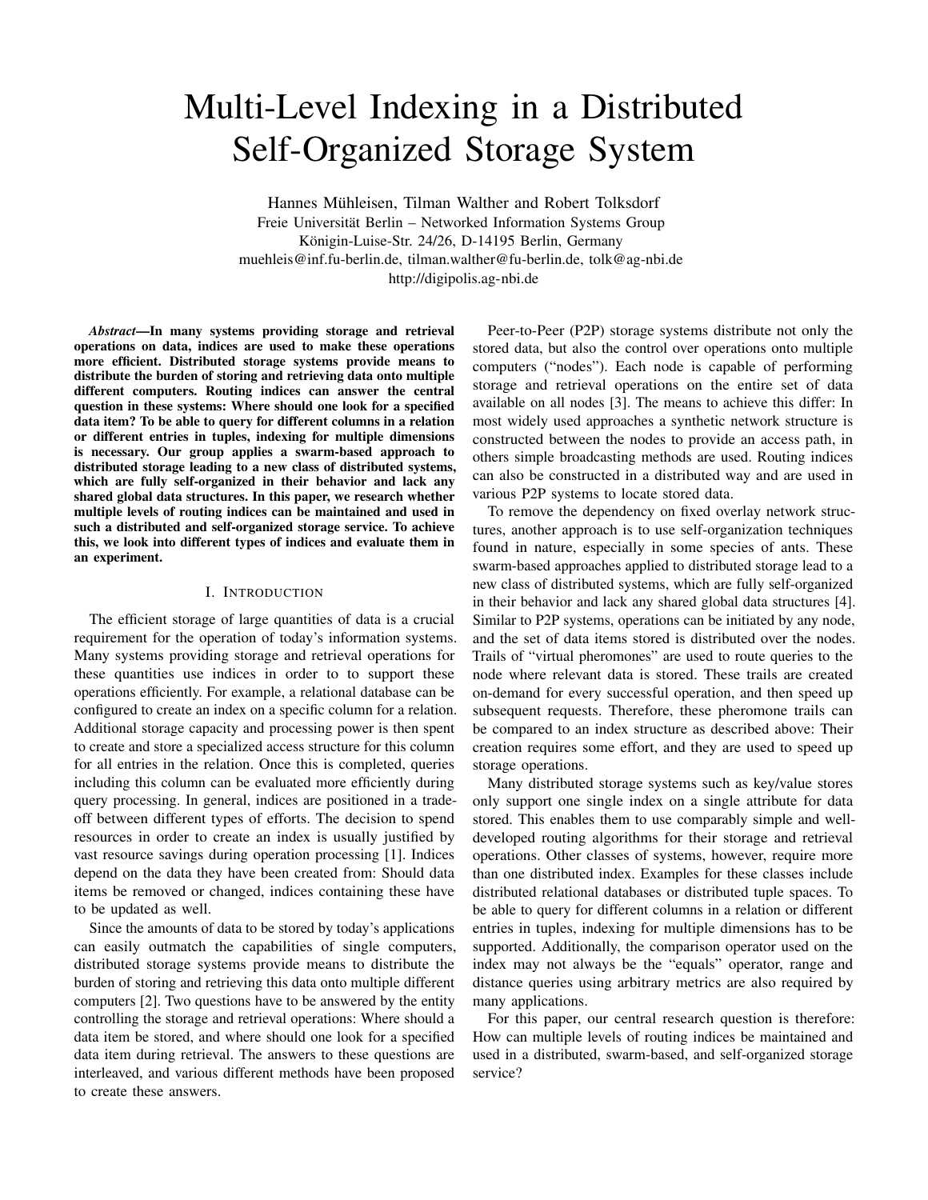# Multi-Level Indexing in a Distributed Self-Organized Storage System

Hannes Mühleisen, Tilman Walther and Robert Tolksdorf Freie Universität Berlin – Networked Information Systems Group Königin-Luise-Str. 24/26, D-14195 Berlin, Germany muehleis@inf.fu-berlin.de, tilman.walther@fu-berlin.de, tolk@ag-nbi.de http://digipolis.ag-nbi.de

*Abstract*—In many systems providing storage and retrieval operations on data, indices are used to make these operations more efficient. Distributed storage systems provide means to distribute the burden of storing and retrieving data onto multiple different computers. Routing indices can answer the central question in these systems: Where should one look for a specified data item? To be able to query for different columns in a relation or different entries in tuples, indexing for multiple dimensions is necessary. Our group applies a swarm-based approach to distributed storage leading to a new class of distributed systems, which are fully self-organized in their behavior and lack any shared global data structures. In this paper, we research whether multiple levels of routing indices can be maintained and used in such a distributed and self-organized storage service. To achieve this, we look into different types of indices and evaluate them in an experiment.

# I. INTRODUCTION

The efficient storage of large quantities of data is a crucial requirement for the operation of today's information systems. Many systems providing storage and retrieval operations for these quantities use indices in order to to support these operations efficiently. For example, a relational database can be configured to create an index on a specific column for a relation. Additional storage capacity and processing power is then spent to create and store a specialized access structure for this column for all entries in the relation. Once this is completed, queries including this column can be evaluated more efficiently during query processing. In general, indices are positioned in a tradeoff between different types of efforts. The decision to spend resources in order to create an index is usually justified by vast resource savings during operation processing [1]. Indices depend on the data they have been created from: Should data items be removed or changed, indices containing these have to be updated as well.

Since the amounts of data to be stored by today's applications can easily outmatch the capabilities of single computers, distributed storage systems provide means to distribute the burden of storing and retrieving this data onto multiple different computers [2]. Two questions have to be answered by the entity controlling the storage and retrieval operations: Where should a data item be stored, and where should one look for a specified data item during retrieval. The answers to these questions are interleaved, and various different methods have been proposed to create these answers.

Peer-to-Peer (P2P) storage systems distribute not only the stored data, but also the control over operations onto multiple computers ("nodes"). Each node is capable of performing storage and retrieval operations on the entire set of data available on all nodes [3]. The means to achieve this differ: In most widely used approaches a synthetic network structure is constructed between the nodes to provide an access path, in others simple broadcasting methods are used. Routing indices can also be constructed in a distributed way and are used in various P2P systems to locate stored data.

To remove the dependency on fixed overlay network structures, another approach is to use self-organization techniques found in nature, especially in some species of ants. These swarm-based approaches applied to distributed storage lead to a new class of distributed systems, which are fully self-organized in their behavior and lack any shared global data structures [4]. Similar to P2P systems, operations can be initiated by any node, and the set of data items stored is distributed over the nodes. Trails of "virtual pheromones" are used to route queries to the node where relevant data is stored. These trails are created on-demand for every successful operation, and then speed up subsequent requests. Therefore, these pheromone trails can be compared to an index structure as described above: Their creation requires some effort, and they are used to speed up storage operations.

Many distributed storage systems such as key/value stores only support one single index on a single attribute for data stored. This enables them to use comparably simple and welldeveloped routing algorithms for their storage and retrieval operations. Other classes of systems, however, require more than one distributed index. Examples for these classes include distributed relational databases or distributed tuple spaces. To be able to query for different columns in a relation or different entries in tuples, indexing for multiple dimensions has to be supported. Additionally, the comparison operator used on the index may not always be the "equals" operator, range and distance queries using arbitrary metrics are also required by many applications.

For this paper, our central research question is therefore: How can multiple levels of routing indices be maintained and used in a distributed, swarm-based, and self-organized storage service?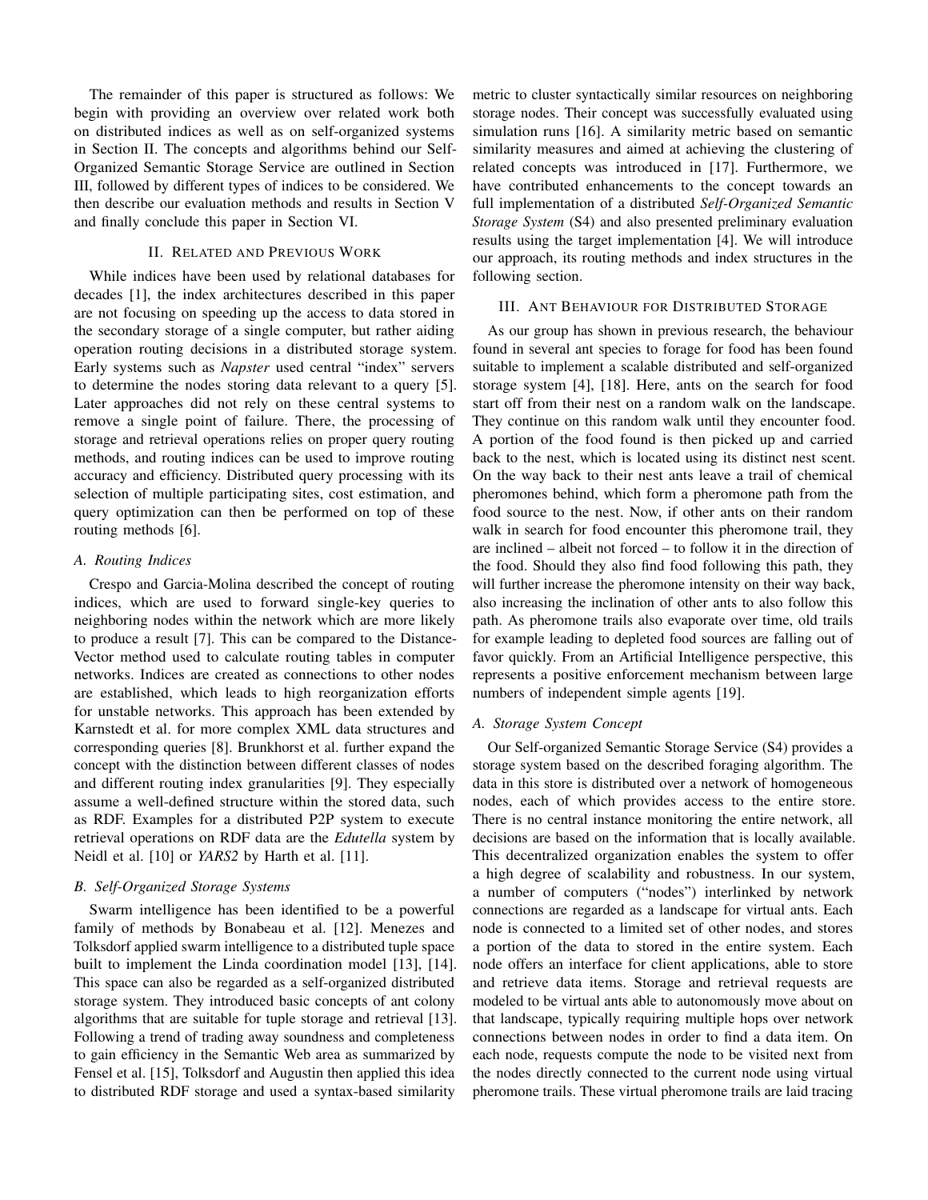The remainder of this paper is structured as follows: We begin with providing an overview over related work both on distributed indices as well as on self-organized systems in Section II. The concepts and algorithms behind our Self-Organized Semantic Storage Service are outlined in Section III, followed by different types of indices to be considered. We then describe our evaluation methods and results in Section V and finally conclude this paper in Section VI.

# II. RELATED AND PREVIOUS WORK

While indices have been used by relational databases for decades [1], the index architectures described in this paper are not focusing on speeding up the access to data stored in the secondary storage of a single computer, but rather aiding operation routing decisions in a distributed storage system. Early systems such as *Napster* used central "index" servers to determine the nodes storing data relevant to a query [5]. Later approaches did not rely on these central systems to remove a single point of failure. There, the processing of storage and retrieval operations relies on proper query routing methods, and routing indices can be used to improve routing accuracy and efficiency. Distributed query processing with its selection of multiple participating sites, cost estimation, and query optimization can then be performed on top of these routing methods [6].

# *A. Routing Indices*

Crespo and Garcia-Molina described the concept of routing indices, which are used to forward single-key queries to neighboring nodes within the network which are more likely to produce a result [7]. This can be compared to the Distance-Vector method used to calculate routing tables in computer networks. Indices are created as connections to other nodes are established, which leads to high reorganization efforts for unstable networks. This approach has been extended by Karnstedt et al. for more complex XML data structures and corresponding queries [8]. Brunkhorst et al. further expand the concept with the distinction between different classes of nodes and different routing index granularities [9]. They especially assume a well-defined structure within the stored data, such as RDF. Examples for a distributed P2P system to execute retrieval operations on RDF data are the *Edutella* system by Neidl et al. [10] or *YARS2* by Harth et al. [11].

# *B. Self-Organized Storage Systems*

Swarm intelligence has been identified to be a powerful family of methods by Bonabeau et al. [12]. Menezes and Tolksdorf applied swarm intelligence to a distributed tuple space built to implement the Linda coordination model [13], [14]. This space can also be regarded as a self-organized distributed storage system. They introduced basic concepts of ant colony algorithms that are suitable for tuple storage and retrieval [13]. Following a trend of trading away soundness and completeness to gain efficiency in the Semantic Web area as summarized by Fensel et al. [15], Tolksdorf and Augustin then applied this idea to distributed RDF storage and used a syntax-based similarity

metric to cluster syntactically similar resources on neighboring storage nodes. Their concept was successfully evaluated using simulation runs [16]. A similarity metric based on semantic similarity measures and aimed at achieving the clustering of related concepts was introduced in [17]. Furthermore, we have contributed enhancements to the concept towards an full implementation of a distributed *Self-Organized Semantic Storage System* (S4) and also presented preliminary evaluation results using the target implementation [4]. We will introduce our approach, its routing methods and index structures in the following section.

## III. ANT BEHAVIOUR FOR DISTRIBUTED STORAGE

As our group has shown in previous research, the behaviour found in several ant species to forage for food has been found suitable to implement a scalable distributed and self-organized storage system [4], [18]. Here, ants on the search for food start off from their nest on a random walk on the landscape. They continue on this random walk until they encounter food. A portion of the food found is then picked up and carried back to the nest, which is located using its distinct nest scent. On the way back to their nest ants leave a trail of chemical pheromones behind, which form a pheromone path from the food source to the nest. Now, if other ants on their random walk in search for food encounter this pheromone trail, they are inclined – albeit not forced – to follow it in the direction of the food. Should they also find food following this path, they will further increase the pheromone intensity on their way back, also increasing the inclination of other ants to also follow this path. As pheromone trails also evaporate over time, old trails for example leading to depleted food sources are falling out of favor quickly. From an Artificial Intelligence perspective, this represents a positive enforcement mechanism between large numbers of independent simple agents [19].

# *A. Storage System Concept*

Our Self-organized Semantic Storage Service (S4) provides a storage system based on the described foraging algorithm. The data in this store is distributed over a network of homogeneous nodes, each of which provides access to the entire store. There is no central instance monitoring the entire network, all decisions are based on the information that is locally available. This decentralized organization enables the system to offer a high degree of scalability and robustness. In our system, a number of computers ("nodes") interlinked by network connections are regarded as a landscape for virtual ants. Each node is connected to a limited set of other nodes, and stores a portion of the data to stored in the entire system. Each node offers an interface for client applications, able to store and retrieve data items. Storage and retrieval requests are modeled to be virtual ants able to autonomously move about on that landscape, typically requiring multiple hops over network connections between nodes in order to find a data item. On each node, requests compute the node to be visited next from the nodes directly connected to the current node using virtual pheromone trails. These virtual pheromone trails are laid tracing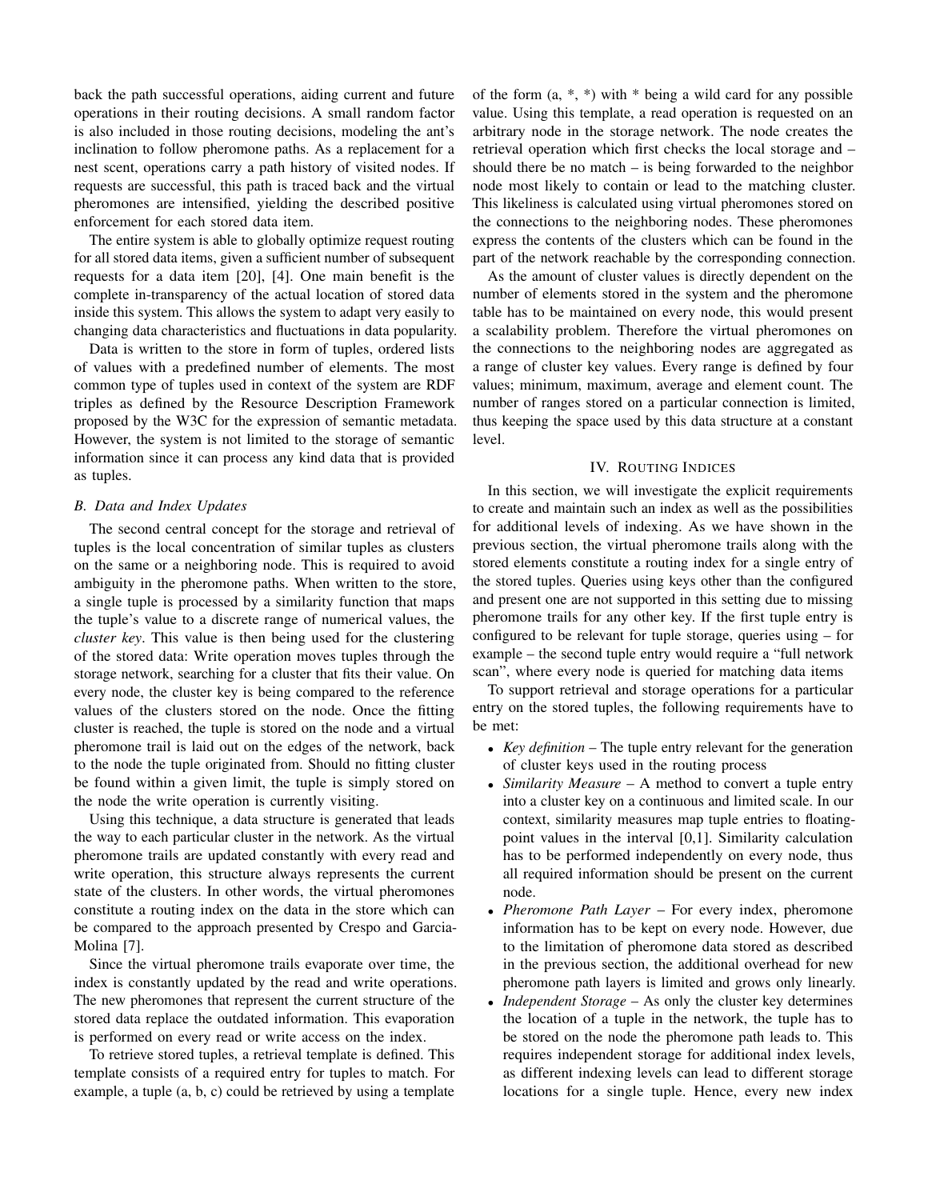back the path successful operations, aiding current and future operations in their routing decisions. A small random factor is also included in those routing decisions, modeling the ant's inclination to follow pheromone paths. As a replacement for a nest scent, operations carry a path history of visited nodes. If requests are successful, this path is traced back and the virtual pheromones are intensified, yielding the described positive enforcement for each stored data item.

The entire system is able to globally optimize request routing for all stored data items, given a sufficient number of subsequent requests for a data item [20], [4]. One main benefit is the complete in-transparency of the actual location of stored data inside this system. This allows the system to adapt very easily to changing data characteristics and fluctuations in data popularity.

Data is written to the store in form of tuples, ordered lists of values with a predefined number of elements. The most common type of tuples used in context of the system are RDF triples as defined by the Resource Description Framework proposed by the W3C for the expression of semantic metadata. However, the system is not limited to the storage of semantic information since it can process any kind data that is provided as tuples.

#### *B. Data and Index Updates*

The second central concept for the storage and retrieval of tuples is the local concentration of similar tuples as clusters on the same or a neighboring node. This is required to avoid ambiguity in the pheromone paths. When written to the store, a single tuple is processed by a similarity function that maps the tuple's value to a discrete range of numerical values, the *cluster key*. This value is then being used for the clustering of the stored data: Write operation moves tuples through the storage network, searching for a cluster that fits their value. On every node, the cluster key is being compared to the reference values of the clusters stored on the node. Once the fitting cluster is reached, the tuple is stored on the node and a virtual pheromone trail is laid out on the edges of the network, back to the node the tuple originated from. Should no fitting cluster be found within a given limit, the tuple is simply stored on the node the write operation is currently visiting.

Using this technique, a data structure is generated that leads the way to each particular cluster in the network. As the virtual pheromone trails are updated constantly with every read and write operation, this structure always represents the current state of the clusters. In other words, the virtual pheromones constitute a routing index on the data in the store which can be compared to the approach presented by Crespo and Garcia-Molina [7].

Since the virtual pheromone trails evaporate over time, the index is constantly updated by the read and write operations. The new pheromones that represent the current structure of the stored data replace the outdated information. This evaporation is performed on every read or write access on the index.

To retrieve stored tuples, a retrieval template is defined. This template consists of a required entry for tuples to match. For example, a tuple (a, b, c) could be retrieved by using a template

of the form  $(a, *, * )$  with  $*$  being a wild card for any possible value. Using this template, a read operation is requested on an arbitrary node in the storage network. The node creates the retrieval operation which first checks the local storage and – should there be no match  $-$  is being forwarded to the neighbor node most likely to contain or lead to the matching cluster. This likeliness is calculated using virtual pheromones stored on the connections to the neighboring nodes. These pheromones express the contents of the clusters which can be found in the part of the network reachable by the corresponding connection.

As the amount of cluster values is directly dependent on the number of elements stored in the system and the pheromone table has to be maintained on every node, this would present a scalability problem. Therefore the virtual pheromones on the connections to the neighboring nodes are aggregated as a range of cluster key values. Every range is defined by four values; minimum, maximum, average and element count. The number of ranges stored on a particular connection is limited, thus keeping the space used by this data structure at a constant level.

# IV. ROUTING INDICES

In this section, we will investigate the explicit requirements to create and maintain such an index as well as the possibilities for additional levels of indexing. As we have shown in the previous section, the virtual pheromone trails along with the stored elements constitute a routing index for a single entry of the stored tuples. Queries using keys other than the configured and present one are not supported in this setting due to missing pheromone trails for any other key. If the first tuple entry is configured to be relevant for tuple storage, queries using – for example – the second tuple entry would require a "full network scan", where every node is queried for matching data items

To support retrieval and storage operations for a particular entry on the stored tuples, the following requirements have to be met:

- *Key definition* The tuple entry relevant for the generation of cluster keys used in the routing process
- *Similarity Measure* A method to convert a tuple entry into a cluster key on a continuous and limited scale. In our context, similarity measures map tuple entries to floatingpoint values in the interval [0,1]. Similarity calculation has to be performed independently on every node, thus all required information should be present on the current node.
- *Pheromone Path Layer* For every index, pheromone information has to be kept on every node. However, due to the limitation of pheromone data stored as described in the previous section, the additional overhead for new pheromone path layers is limited and grows only linearly.
- *Independent Storage* As only the cluster key determines the location of a tuple in the network, the tuple has to be stored on the node the pheromone path leads to. This requires independent storage for additional index levels, as different indexing levels can lead to different storage locations for a single tuple. Hence, every new index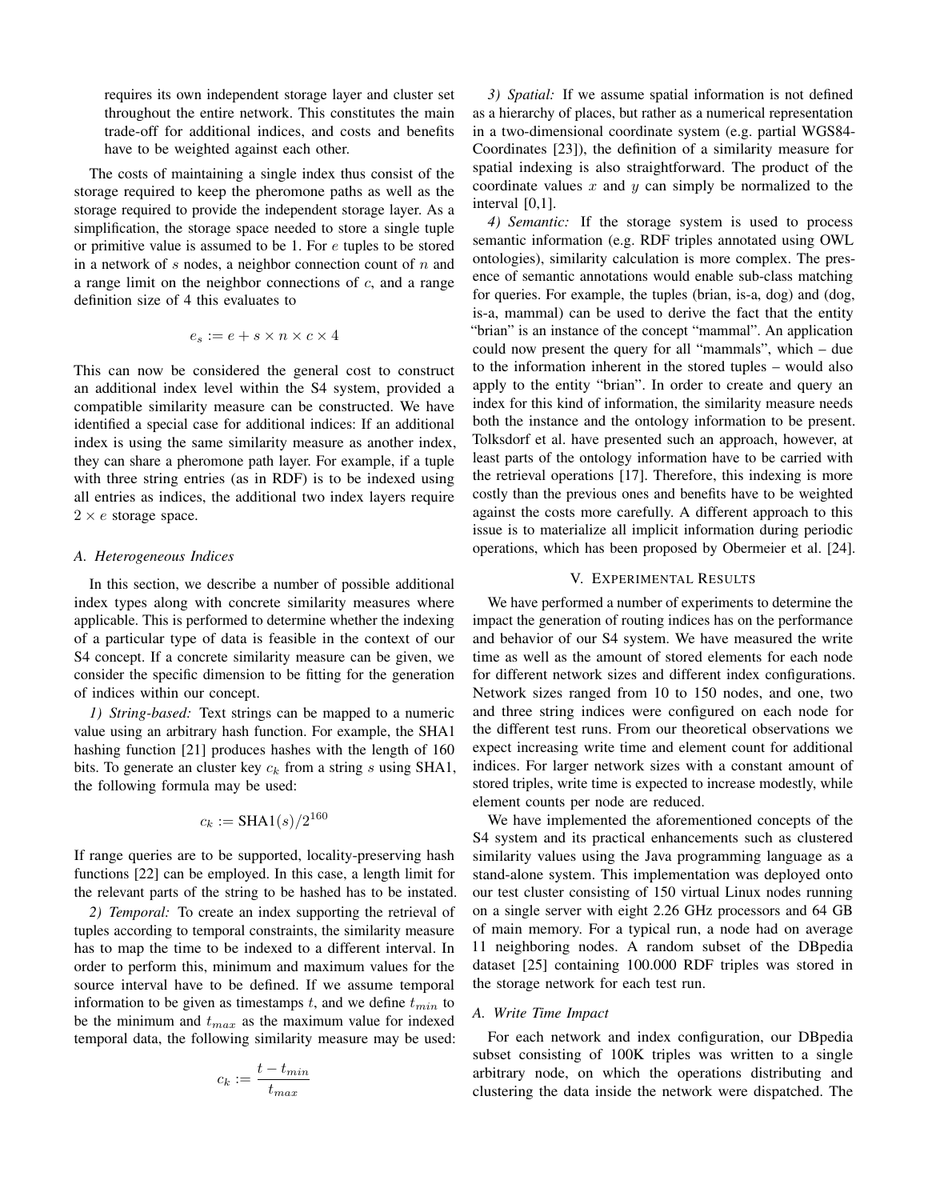requires its own independent storage layer and cluster set throughout the entire network. This constitutes the main trade-off for additional indices, and costs and benefits have to be weighted against each other.

The costs of maintaining a single index thus consist of the storage required to keep the pheromone paths as well as the storage required to provide the independent storage layer. As a simplification, the storage space needed to store a single tuple or primitive value is assumed to be 1. For e tuples to be stored in a network of s nodes, a neighbor connection count of  $n$  and a range limit on the neighbor connections of  $c$ , and a range definition size of 4 this evaluates to

$$
e_s := e + s \times n \times c \times 4
$$

This can now be considered the general cost to construct an additional index level within the S4 system, provided a compatible similarity measure can be constructed. We have identified a special case for additional indices: If an additional index is using the same similarity measure as another index, they can share a pheromone path layer. For example, if a tuple with three string entries (as in RDF) is to be indexed using all entries as indices, the additional two index layers require  $2 \times e$  storage space.

## *A. Heterogeneous Indices*

In this section, we describe a number of possible additional index types along with concrete similarity measures where applicable. This is performed to determine whether the indexing of a particular type of data is feasible in the context of our S4 concept. If a concrete similarity measure can be given, we consider the specific dimension to be fitting for the generation of indices within our concept.

*1) String-based:* Text strings can be mapped to a numeric value using an arbitrary hash function. For example, the SHA1 hashing function [21] produces hashes with the length of 160 bits. To generate an cluster key  $c_k$  from a string s using SHA1, the following formula may be used:

$$
c_k := \text{SHA1}(s) / 2^{160}
$$

If range queries are to be supported, locality-preserving hash functions [22] can be employed. In this case, a length limit for the relevant parts of the string to be hashed has to be instated.

*2) Temporal:* To create an index supporting the retrieval of tuples according to temporal constraints, the similarity measure has to map the time to be indexed to a different interval. In order to perform this, minimum and maximum values for the source interval have to be defined. If we assume temporal information to be given as timestamps t, and we define  $t_{min}$  to be the minimum and  $t_{max}$  as the maximum value for indexed temporal data, the following similarity measure may be used:

$$
c_k := \frac{t - t_{min}}{t_{max}}
$$

*3) Spatial:* If we assume spatial information is not defined as a hierarchy of places, but rather as a numerical representation in a two-dimensional coordinate system (e.g. partial WGS84- Coordinates [23]), the definition of a similarity measure for spatial indexing is also straightforward. The product of the coordinate values  $x$  and  $y$  can simply be normalized to the interval [0,1].

*4) Semantic:* If the storage system is used to process semantic information (e.g. RDF triples annotated using OWL ontologies), similarity calculation is more complex. The presence of semantic annotations would enable sub-class matching for queries. For example, the tuples (brian, is-a, dog) and (dog, is-a, mammal) can be used to derive the fact that the entity "brian" is an instance of the concept "mammal". An application could now present the query for all "mammals", which – due to the information inherent in the stored tuples – would also apply to the entity "brian". In order to create and query an index for this kind of information, the similarity measure needs both the instance and the ontology information to be present. Tolksdorf et al. have presented such an approach, however, at least parts of the ontology information have to be carried with the retrieval operations [17]. Therefore, this indexing is more costly than the previous ones and benefits have to be weighted against the costs more carefully. A different approach to this issue is to materialize all implicit information during periodic operations, which has been proposed by Obermeier et al. [24].

# V. EXPERIMENTAL RESULTS

We have performed a number of experiments to determine the impact the generation of routing indices has on the performance and behavior of our S4 system. We have measured the write time as well as the amount of stored elements for each node for different network sizes and different index configurations. Network sizes ranged from 10 to 150 nodes, and one, two and three string indices were configured on each node for the different test runs. From our theoretical observations we expect increasing write time and element count for additional indices. For larger network sizes with a constant amount of stored triples, write time is expected to increase modestly, while element counts per node are reduced.

We have implemented the aforementioned concepts of the S4 system and its practical enhancements such as clustered similarity values using the Java programming language as a stand-alone system. This implementation was deployed onto our test cluster consisting of 150 virtual Linux nodes running on a single server with eight 2.26 GHz processors and 64 GB of main memory. For a typical run, a node had on average 11 neighboring nodes. A random subset of the DBpedia dataset [25] containing 100.000 RDF triples was stored in the storage network for each test run.

# *A. Write Time Impact*

For each network and index configuration, our DBpedia subset consisting of 100K triples was written to a single arbitrary node, on which the operations distributing and clustering the data inside the network were dispatched. The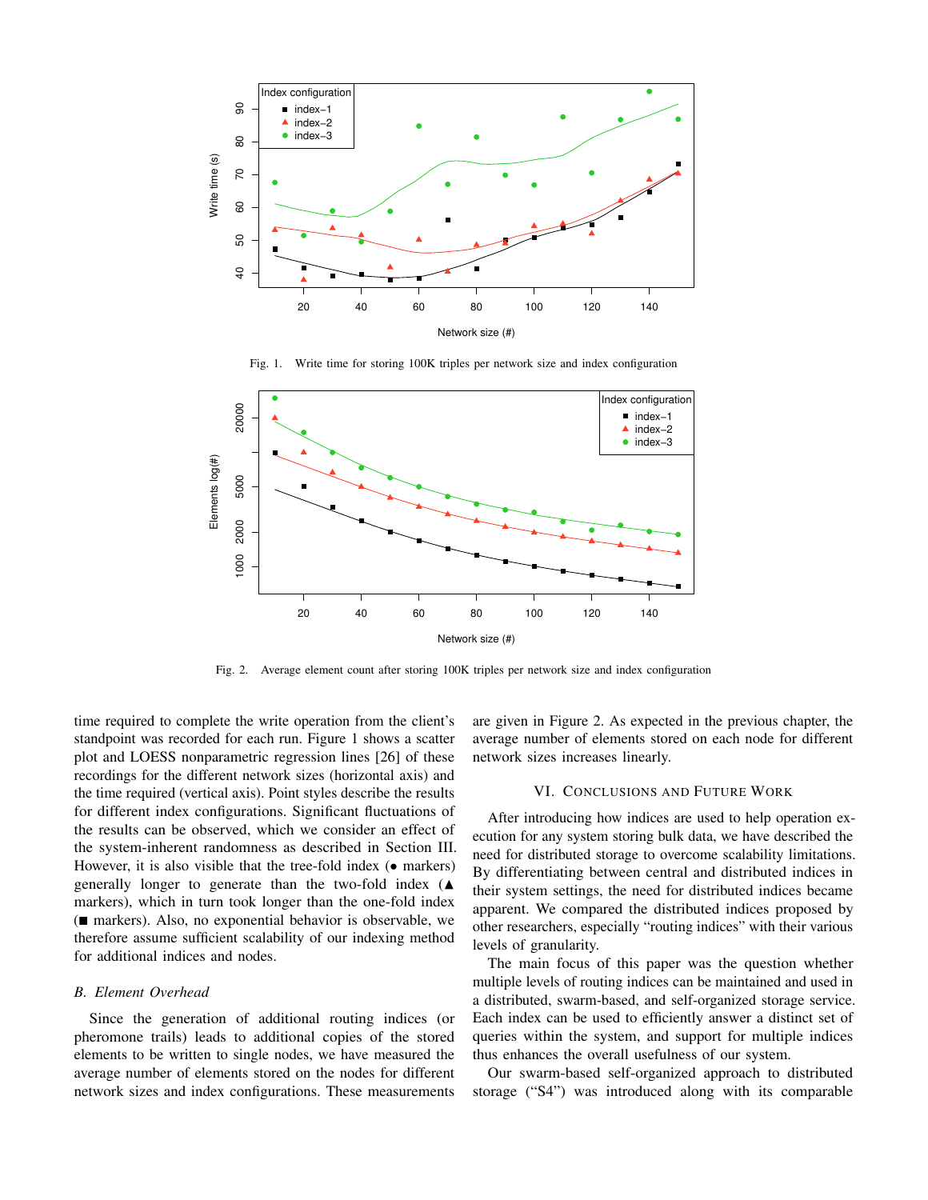

Fig. 1. Write time for storing 100K triples per network size and index configuration



Fig. 2. Average element count after storing 100K triples per network size and index configuration

time required to complete the write operation from the client's standpoint was recorded for each run. Figure 1 shows a scatter plot and LOESS nonparametric regression lines [26] of these recordings for the different network sizes (horizontal axis) and the time required (vertical axis). Point styles describe the results for different index configurations. Significant fluctuations of the results can be observed, which we consider an effect of the system-inherent randomness as described in Section III. However, it is also visible that the tree-fold index  $(•$  markers) generally longer to generate than the two-fold index  $(A)$ markers), which in turn took longer than the one-fold index ( markers). Also, no exponential behavior is observable, we therefore assume sufficient scalability of our indexing method for additional indices and nodes.

# *B. Element Overhead*

Since the generation of additional routing indices (or pheromone trails) leads to additional copies of the stored elements to be written to single nodes, we have measured the average number of elements stored on the nodes for different network sizes and index configurations. These measurements

are given in Figure 2. As expected in the previous chapter, the average number of elements stored on each node for different network sizes increases linearly.

#### VI. CONCLUSIONS AND FUTURE WORK

After introducing how indices are used to help operation execution for any system storing bulk data, we have described the need for distributed storage to overcome scalability limitations. By differentiating between central and distributed indices in their system settings, the need for distributed indices became apparent. We compared the distributed indices proposed by other researchers, especially "routing indices" with their various levels of granularity.

The main focus of this paper was the question whether multiple levels of routing indices can be maintained and used in a distributed, swarm-based, and self-organized storage service. Each index can be used to efficiently answer a distinct set of queries within the system, and support for multiple indices thus enhances the overall usefulness of our system.

Our swarm-based self-organized approach to distributed storage ("S4") was introduced along with its comparable